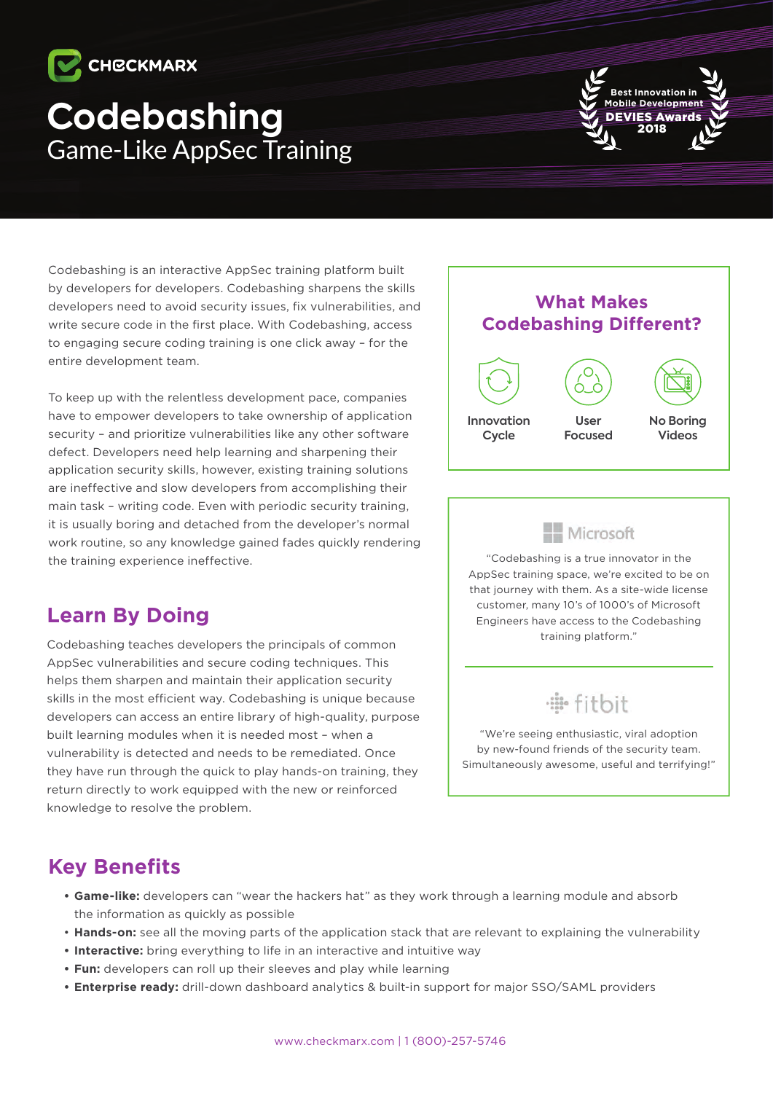# **CHECKMARX**

## **Codebashing** Game-Like AppSec Training



Codebashing is an interactive AppSec training platform built by developers for developers. Codebashing sharpens the skills developers need to avoid security issues, fix vulnerabilities, and write secure code in the first place. With Codebashing, access to engaging secure coding training is one click away – for the entire development team.

To keep up with the relentless development pace, companies have to empower developers to take ownership of application security - and prioritize vulnerabilities like any other software defect. Developers need help learning and sharpening their application security skills, however, existing training solutions are ineffective and slow developers from accomplishing their main task - writing code. Even with periodic security training. it is usually boring and detached from the developer's normal work routine, so any knowledge gained fades guickly rendering the training experience ineffective.

### **Learn By Doing**

Codebashing teaches developers the principals of common AppSec vulnerabilities and secure coding techniques. This helps them sharpen and maintain their application security skills in the most efficient way. Codebashing is unique because developers can access an entire library of high-quality, purpose built learning modules when it is needed most - when a vulnerability is detected and needs to be remediated. Once they have run through the quick to play hands-on training, they return directly to work equipped with the new or reinforced knowledge to resolve the problem.



#### - Microsoft

 $\overline{\phantom{a}}$ 

"Codebashing is a true innovator in the AppSec training space, we're excited to be on that journey with them. As a site-wide license customer, many 10's of 1000's of Microsoft Engineers have access to the Codebashing training platform."

### ·iii· fitbit

"We're seeing enthusiastic, viral adoption by new-found friends of the security team. Simultaneously awesome, useful and terrifying!"

#### **Key Benefits**

- Game-like: developers can "wear the hackers hat" as they work through a learning module and absorb the information as quickly as possible
- Hands-on: see all the moving parts of the application stack that are relevant to explaining the vulnerability
- **Interactive:** bring everything to life in an interactive and intuitive way
- **Fun:** developers can roll up their sleeves and play while learning
- Enterprise ready: drill-down dashboard analytics & built-in support for major SSO/SAML providers